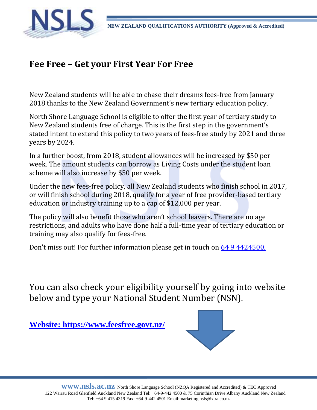

## **Fee Free – Get your First Year For Free**

New Zealand students will be able to chase their dreams fees-free from January 2018 thanks to the New Zealand Government's new tertiary education policy.

North Shore Language School is eligible to offer the first year of tertiary study to New Zealand students free of charge. This is the first step in the government's stated intent to extend this policy to two years of fees-free study by 2021 and three years by 2024.

In a further boost, from 2018, student allowances will be increased by \$50 per week. The amount students can borrow as Living Costs under the student loan scheme will also increase by \$50 per week.

Under the new fees-free policy, all New Zealand students who finish school in 2017, or will finish school during 2018, qualify for a year of free provider-based tertiary education or industry training up to a cap of \$12,000 per year.

The policy will also benefit those who aren't school leavers. There are no age restrictions, and adults who have done half a full-time year of tertiary education or training may also qualify for fees-free.

Don't miss out! For further information please get in touch on 64 9 4424500.

You can also check your eligibility yourself by going into website below and type your National Student Number (NSN).

**Website:<https://www.feesfree.govt.nz/>**